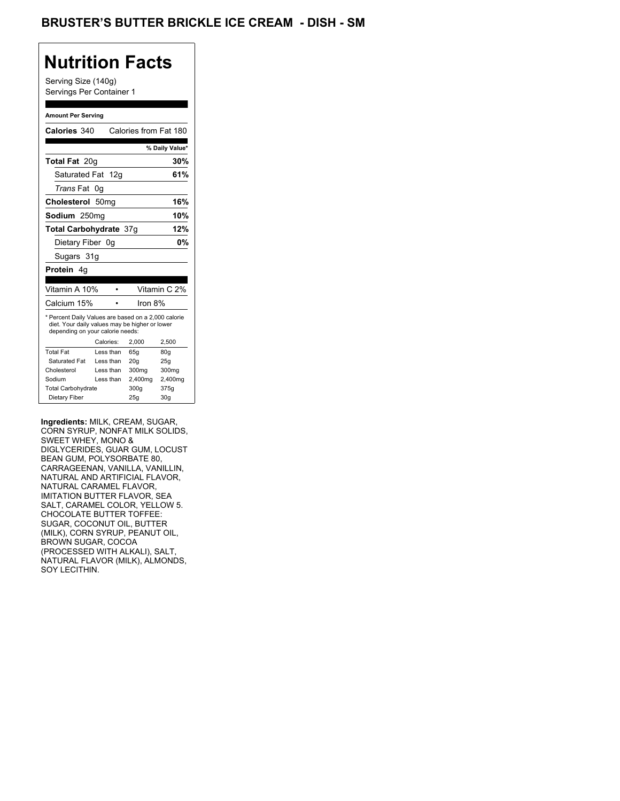## BRUSTER'S BUTTER BRICKLE ICE CREAM - DISH - SM

## **Nutrition Facts**

Serving Size (140g) Servings Per Container 1

#### **Amount Per Serving**

| Calories 340                                                                                                                              |    |           | Calories from Fat 180 |                |
|-------------------------------------------------------------------------------------------------------------------------------------------|----|-----------|-----------------------|----------------|
|                                                                                                                                           |    |           |                       | % Daily Value* |
|                                                                                                                                           |    |           |                       |                |
| <b>Total Fat 20g</b>                                                                                                                      |    |           |                       | 30%            |
| Saturated Fat 12g                                                                                                                         |    |           |                       | 61%            |
| <i>Trans</i> Fat                                                                                                                          | 0g |           |                       |                |
| Cholesterol 50mg                                                                                                                          |    |           |                       | 16%            |
| Sodium 250mg                                                                                                                              |    |           |                       | 10%            |
| Total Carbohydrate 37q                                                                                                                    |    |           |                       | 12%            |
| Dietary Fiber 0q                                                                                                                          |    |           |                       | 0%             |
| Sugars 31g                                                                                                                                |    |           |                       |                |
| Protein 4g                                                                                                                                |    |           |                       |                |
|                                                                                                                                           |    |           |                       |                |
| Vitamin A 10%                                                                                                                             |    |           |                       | Vitamin C 2%   |
| Calcium 15%                                                                                                                               |    |           | Iron 8%               |                |
| * Percent Daily Values are based on a 2,000 calorie<br>diet. Your daily values may be higher or lower<br>depending on your calorie needs: |    |           |                       |                |
|                                                                                                                                           |    | Calories: | 2.000                 | 2,500          |
| <b>Total Fat</b>                                                                                                                          |    | Less than | 65q                   | 80q            |
| Saturated Fat                                                                                                                             |    | Less than | 20q                   | 25q            |
| Cholesterol                                                                                                                               |    | Less than | 300mg                 | 300mg          |
| Sodium                                                                                                                                    |    | Less than | 2,400mg               | 2,400mg        |
| <b>Total Carbohydrate</b>                                                                                                                 |    |           | 300g                  | 375g           |
| Dietary Fiber                                                                                                                             |    |           |                       |                |

**Ingredients:** MILK, CREAM, SUGAR, CORN SYRUP, NONFAT MILK SOLIDS, SWEET WHEY, MONO & DIGLYCERIDES, GUAR GUM, LOCUST BEAN GUM, POLYSORBATE 80, CARRAGEENAN, VANILLA, VANILLIN, NATURAL AND ARTIFICIAL FLAVOR, NATURAL CARAMEL FLAVOR, IMITATION BUTTER FLAVOR, SEA SALT, CARAMEL COLOR, YELLOW 5. CHOCOLATE BUTTER TOFFEE: SUGAR, COCONUT OIL, BUTTER (MILK), CORN SYRUP, PEANUT OIL, BROWN SUGAR, COCOA (PROCESSED WITH ALKALI), SALT, NATURAL FLAVOR (MILK), ALMONDS, SOY LECITHIN.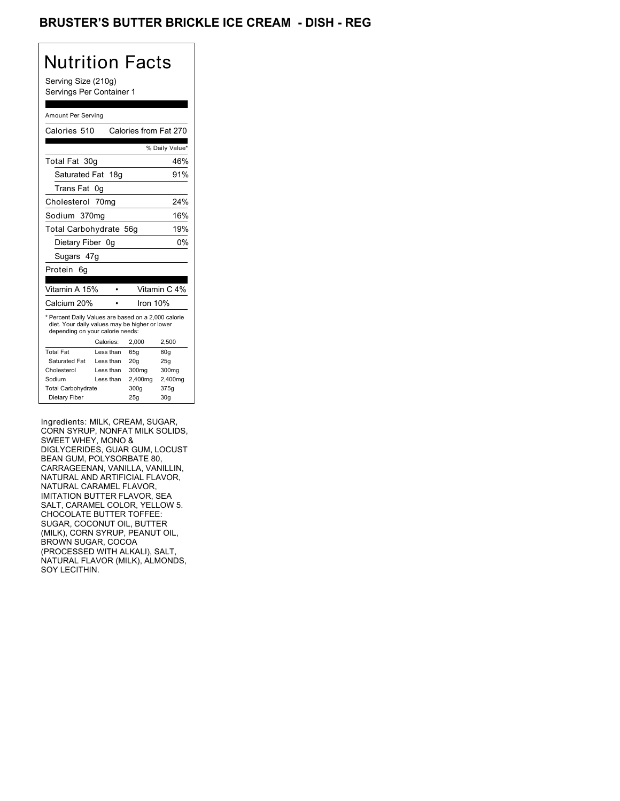## BRUSTER'S BUTTER BRICKLE ICE CREAM - DISH - REG

## Nutrition Facts

Serving Size (210g) Servings Per Container 1

### Amount Per Serving

| Calories 510                                                                                                                              |           | Calories from Fat 270 |                |
|-------------------------------------------------------------------------------------------------------------------------------------------|-----------|-----------------------|----------------|
|                                                                                                                                           |           |                       | % Daily Value* |
| Total Fat 30g                                                                                                                             |           |                       | 46%            |
| Saturated Fat 18g                                                                                                                         |           |                       | 91%            |
| Trans Fat                                                                                                                                 | 0g        |                       |                |
| Cholesterol 70mg                                                                                                                          |           |                       | 24%            |
| Sodium 370mg                                                                                                                              |           |                       | 16%            |
| Total Carbohydrate 56g                                                                                                                    |           |                       | 19%            |
| Dietary Fiber 0g                                                                                                                          |           |                       | 0%             |
| Sugars 47g                                                                                                                                |           |                       |                |
| Protein<br>6a                                                                                                                             |           |                       |                |
|                                                                                                                                           |           |                       |                |
| Vitamin A 15%                                                                                                                             |           |                       | Vitamin C 4%   |
| Calcium 20%                                                                                                                               |           | Iron 10%              |                |
|                                                                                                                                           |           |                       |                |
| * Percent Daily Values are based on a 2,000 calorie<br>diet. Your daily values may be higher or lower<br>depending on your calorie needs: |           |                       |                |
|                                                                                                                                           | Calories: | 2,000                 | 2.500          |
| <b>Total Fat</b>                                                                                                                          | Less than | 65g                   | 80q            |
| Saturated Fat                                                                                                                             | Less than | 20 <sub>q</sub>       | 25q            |
| Cholesterol                                                                                                                               | Less than | 300mg                 | 300mg          |
| Sodium                                                                                                                                    | Less than | 2,400mg               | 2,400mg        |
| <b>Total Carbohydrate</b>                                                                                                                 |           | 300g                  | 375g           |

Ingredients: MILK, CREAM, SUGAR, CORN SYRUP, NONFAT MILK SOLIDS, SWEET WHEY, MONO & DIGLYCERIDES, GUAR GUM, LOCUST BEAN GUM, POLYSORBATE 80, CARRAGEENAN, VANILLA, VANILLIN, NATURAL AND ARTIFICIAL FLAVOR, NATURAL CARAMEL FLAVOR, IMITATION BUTTER FLAVOR, SEA SALT, CARAMEL COLOR, YELLOW 5. CHOCOLATE BUTTER TOFFEE: SUGAR, COCONUT OIL, BUTTER (MILK), CORN SYRUP, PEANUT OIL, BROWN SUGAR, COCOA (PROCESSED WITH ALKALI), SALT, NATURAL FLAVOR (MILK), ALMONDS, SOY LECITHIN.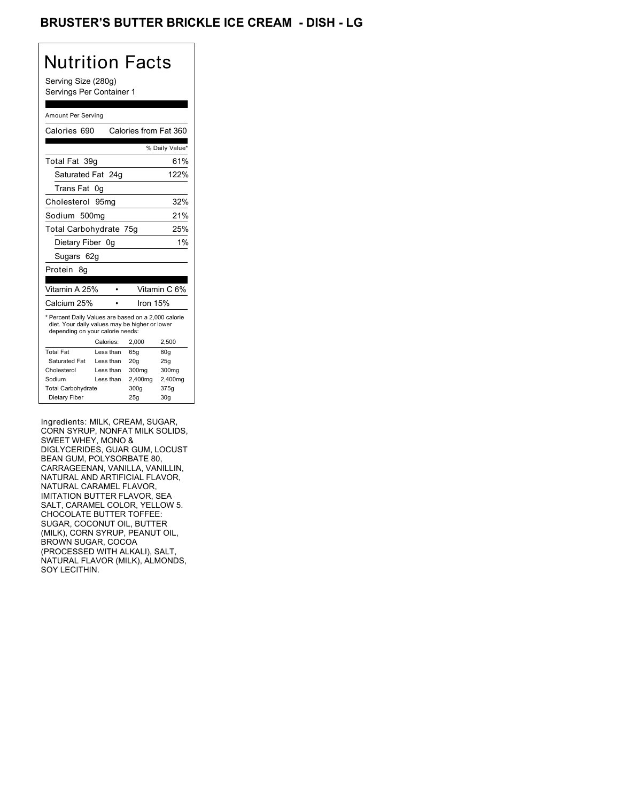## BRUSTER'S BUTTER BRICKLE ICE CREAM - DISH - LG

## Nutrition Facts

Serving Size (280g) Servings Per Container 1

### Amount Per Serving

| Calories 690                                                                                                                              |           | Calories from Fat 360 |                |
|-------------------------------------------------------------------------------------------------------------------------------------------|-----------|-----------------------|----------------|
|                                                                                                                                           |           |                       | % Daily Value* |
| Total Fat 39q                                                                                                                             |           |                       | 61%            |
| Saturated Fat 24g                                                                                                                         |           |                       | 122%           |
| Trans Fat                                                                                                                                 | 0g        |                       |                |
| Cholesterol                                                                                                                               | 95mq      |                       | 32%            |
| Sodium 500mg                                                                                                                              |           |                       | 21%            |
| Total Carbohydrate 75g                                                                                                                    |           |                       | 25%            |
| Dietary Fiber 0g                                                                                                                          |           |                       | 1%             |
| Sugars 62g                                                                                                                                |           |                       |                |
| Protein<br>8g                                                                                                                             |           |                       |                |
|                                                                                                                                           |           |                       |                |
| Vitamin A 25%                                                                                                                             |           |                       | Vitamin C 6%   |
| Calcium 25%                                                                                                                               |           | Iron 15%              |                |
| * Percent Daily Values are based on a 2,000 calorie<br>diet. Your daily values may be higher or lower<br>depending on your calorie needs: |           |                       |                |
|                                                                                                                                           | Calories: | 2,000                 | 2,500          |
| <b>Total Fat</b>                                                                                                                          | Less than | 65g                   | 80g            |
| Saturated Fat                                                                                                                             | Less than | 20q                   | 25q            |
| Cholesterol                                                                                                                               | Less than | 300 <sub>mq</sub>     | 300mg          |
| Sodium                                                                                                                                    | Less than | 2,400mg               | 2,400mg        |
|                                                                                                                                           |           |                       |                |
| <b>Total Carbohydrate</b>                                                                                                                 |           | 300q                  | 375g           |
| Dietary Fiber                                                                                                                             |           | 25q                   | 30q            |

Ingredients: MILK, CREAM, SUGAR, CORN SYRUP, NONFAT MILK SOLIDS, SWEET WHEY, MONO & DIGLYCERIDES, GUAR GUM, LOCUST BEAN GUM, POLYSORBATE 80, CARRAGEENAN, VANILLA, VANILLIN, NATURAL AND ARTIFICIAL FLAVOR, NATURAL CARAMEL FLAVOR, IMITATION BUTTER FLAVOR, SEA SALT, CARAMEL COLOR, YELLOW 5. CHOCOLATE BUTTER TOFFEE: SUGAR, COCONUT OIL, BUTTER (MILK), CORN SYRUP, PEANUT OIL, BROWN SUGAR, COCOA (PROCESSED WITH ALKALI), SALT, NATURAL FLAVOR (MILK), ALMONDS, SOY LECITHIN.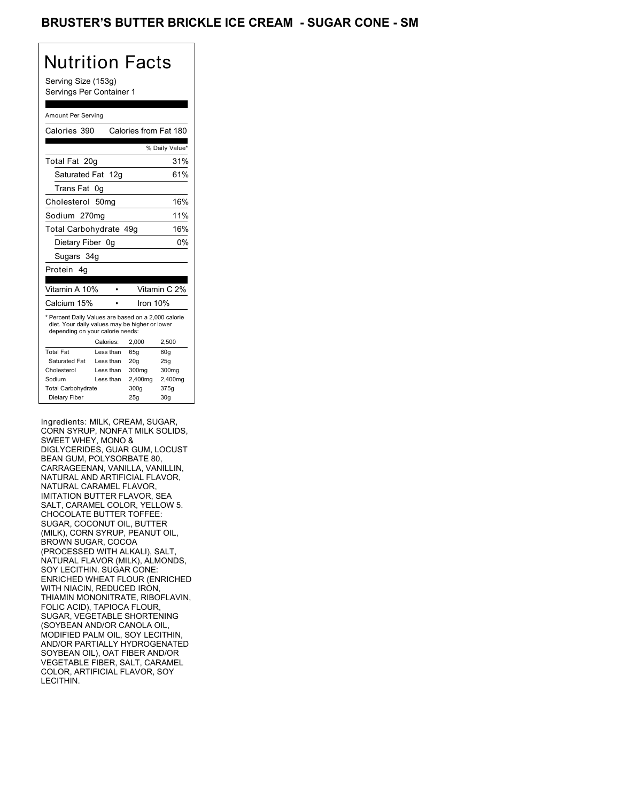## BRUSTER'S BUTTER BRICKLE ICE CREAM - SUGAR CONE - SM

## Nutrition Facts

Serving Size (153g) Servings Per Container 1

### Amount Per Serving

| Calories 390                                                                                                                              |                  |           | Calories from Fat 180 |                 |
|-------------------------------------------------------------------------------------------------------------------------------------------|------------------|-----------|-----------------------|-----------------|
|                                                                                                                                           |                  |           |                       | % Daily Value*  |
| Total Fat 20g                                                                                                                             |                  |           |                       | 31%             |
| Saturated Fat 12g                                                                                                                         |                  |           |                       | 61%             |
| Trans Fat                                                                                                                                 | 0g               |           |                       |                 |
| Cholesterol                                                                                                                               | 50 <sub>mq</sub> |           |                       | 16%             |
| Sodium 270mg                                                                                                                              |                  |           |                       | 11%             |
| Total Carbohydrate 49g                                                                                                                    |                  |           |                       | 16%             |
| Dietary Fiber 0g                                                                                                                          |                  |           |                       | 0%              |
| Sugars 34g                                                                                                                                |                  |           |                       |                 |
| Protein 4a                                                                                                                                |                  |           |                       |                 |
|                                                                                                                                           |                  |           |                       |                 |
| Vitamin A 10%                                                                                                                             |                  |           |                       | Vitamin C 2%    |
| Calcium 15%                                                                                                                               |                  |           | Iron $10%$            |                 |
| * Percent Daily Values are based on a 2,000 calorie<br>diet. Your daily values may be higher or lower<br>depending on your calorie needs: |                  |           |                       |                 |
|                                                                                                                                           |                  | Calories: | 2.000                 | 2.500           |
| <b>Total Fat</b>                                                                                                                          |                  | Less than | 65q                   | 80q             |
| Saturated Fat                                                                                                                             |                  | Less than | 20q                   | 25g             |
| Cholesterol                                                                                                                               |                  | Less than | 300 <sub>mq</sub>     | 300mg           |
| Sodium                                                                                                                                    |                  | Less than | 2,400mg               | 2,400mg         |
| <b>Total Carbohydrate</b>                                                                                                                 |                  |           | 300q                  | 375g            |
| Dietary Fiber                                                                                                                             |                  |           | 25q                   | 30 <sub>g</sub> |

Ingredients: MILK, CREAM, SUGAR, CORN SYRUP, NONFAT MILK SOLIDS, SWEET WHEY, MONO & DIGLYCERIDES, GUAR GUM, LOCUST BEAN GUM, POLYSORBATE 80, CARRAGEENAN, VANILLA, VANILLIN, NATURAL AND ARTIFICIAL FLAVOR, NATURAL CARAMEL FLAVOR, IMITATION BUTTER FLAVOR, SEA SALT, CARAMEL COLOR, YELLOW 5. CHOCOLATE BUTTER TOFFEE: SUGAR, COCONUT OIL, BUTTER (MILK), CORN SYRUP, PEANUT OIL, BROWN SUGAR, COCOA (PROCESSED WITH ALKALI), SALT, NATURAL FLAVOR (MILK), ALMONDS, SOY LECITHIN. SUGAR CONE: ENRICHED WHEAT FLOUR (ENRICHED WITH NIACIN, REDUCED IRON, THIAMIN MONONITRATE, RIBOFLAVIN, FOLIC ACID), TAPIOCA FLOUR, SUGAR, VEGETABLE SHORTENING (SOYBEAN AND/OR CANOLA OIL, MODIFIED PALM OIL, SOY LECITHIN, AND/OR PARTIALLY HYDROGENATED SOYBEAN OIL), OAT FIBER AND/OR VEGETABLE FIBER, SALT, CARAMEL COLOR, ARTIFICIAL FLAVOR, SOY LECITHIN.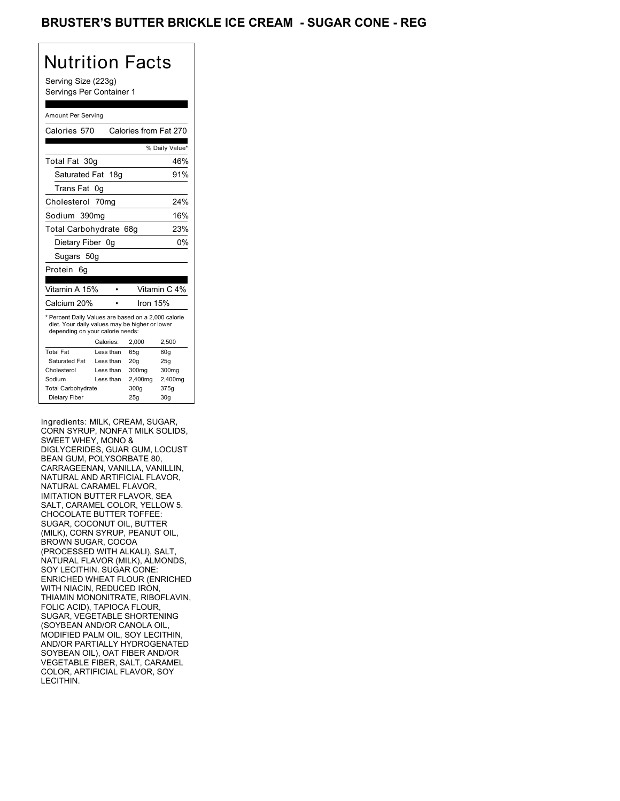## BRUSTER'S BUTTER BRICKLE ICE CREAM - SUGAR CONE - REG

# Nutrition Facts

Serving Size (223g) Servings Per Container 1

### Amount Per Serving

| Calories 570                                                                                                                              |           | Calories from Fat 270 |                 |
|-------------------------------------------------------------------------------------------------------------------------------------------|-----------|-----------------------|-----------------|
|                                                                                                                                           |           |                       | % Daily Value*  |
| Total Fat 30g                                                                                                                             |           |                       | 46%             |
| Saturated Fat 18g                                                                                                                         |           |                       | 91%             |
| Trans Fat                                                                                                                                 | 0g        |                       |                 |
| Cholesterol 70mg                                                                                                                          |           |                       | 24%             |
| Sodium 390mg                                                                                                                              |           |                       | 16%             |
| Total Carbohydrate 68g                                                                                                                    |           |                       | 23%             |
| Dietary Fiber 0q                                                                                                                          |           |                       | 0%              |
| Sugars 50g                                                                                                                                |           |                       |                 |
| Protein<br>6q                                                                                                                             |           |                       |                 |
|                                                                                                                                           |           |                       |                 |
| Vitamin A 15%                                                                                                                             |           |                       | Vitamin C 4%    |
| Calcium 20%                                                                                                                               |           | Iron 15%              |                 |
| * Percent Daily Values are based on a 2,000 calorie<br>diet. Your daily values may be higher or lower<br>depending on your calorie needs: |           |                       |                 |
|                                                                                                                                           | Calories: | 2.000                 | 2,500           |
| <b>Total Fat</b>                                                                                                                          | Less than | 65q                   | 80q             |
| Saturated Fat                                                                                                                             | Less than | 20q                   | 25q             |
| Cholesterol                                                                                                                               | Less than | 300mg                 | 300mg           |
| Sodium                                                                                                                                    | Less than | 2,400mg               | 2,400mg         |
| <b>Total Carbohydrate</b>                                                                                                                 |           | 300g                  | 375g            |
| Dietary Fiber                                                                                                                             |           | 25q                   | 30 <sub>g</sub> |

Ingredients: MILK, CREAM, SUGAR, CORN SYRUP, NONFAT MILK SOLIDS, SWEET WHEY, MONO & DIGLYCERIDES, GUAR GUM, LOCUST BEAN GUM, POLYSORBATE 80, CARRAGEENAN, VANILLA, VANILLIN, NATURAL AND ARTIFICIAL FLAVOR, NATURAL CARAMEL FLAVOR, IMITATION BUTTER FLAVOR, SEA SALT, CARAMEL COLOR, YELLOW 5. CHOCOLATE BUTTER TOFFEE: SUGAR, COCONUT OIL, BUTTER (MILK), CORN SYRUP, PEANUT OIL, BROWN SUGAR, COCOA (PROCESSED WITH ALKALI), SALT, NATURAL FLAVOR (MILK), ALMONDS, SOY LECITHIN. SUGAR CONE: ENRICHED WHEAT FLOUR (ENRICHED WITH NIACIN, REDUCED IRON, THIAMIN MONONITRATE, RIBOFLAVIN, FOLIC ACID), TAPIOCA FLOUR, SUGAR, VEGETABLE SHORTENING (SOYBEAN AND/OR CANOLA OIL, MODIFIED PALM OIL, SOY LECITHIN, AND/OR PARTIALLY HYDROGENATED SOYBEAN OIL), OAT FIBER AND/OR VEGETABLE FIBER, SALT, CARAMEL COLOR, ARTIFICIAL FLAVOR, SOY LECITHIN.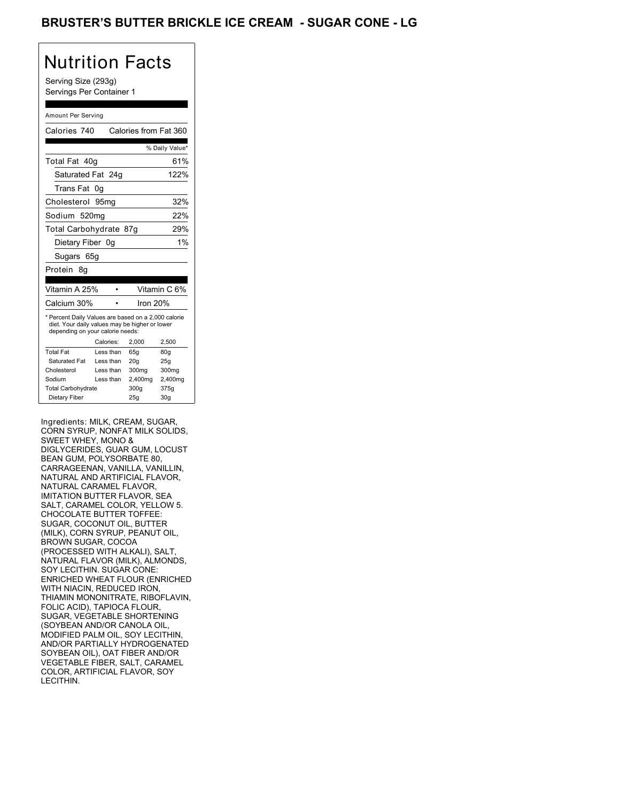## BRUSTER'S BUTTER BRICKLE ICE CREAM - SUGAR CONE - LG

## Nutrition Facts

Serving Size (293g) Servings Per Container 1

### Amount Per Serving

| Calories 740                                                                                                                              |           | Calories from Fat 360 |                |
|-------------------------------------------------------------------------------------------------------------------------------------------|-----------|-----------------------|----------------|
|                                                                                                                                           |           |                       | % Daily Value* |
| Total Fat 40q                                                                                                                             |           |                       | 61%            |
| Saturated Fat 24q                                                                                                                         |           |                       | 122%           |
| Trans Fat                                                                                                                                 | 0g        |                       |                |
| Cholesterol 95mg                                                                                                                          |           |                       | 32%            |
| Sodium 520mg                                                                                                                              |           |                       | 22%            |
| Total Carbohydrate 87g                                                                                                                    |           |                       | 29%            |
| Dietary Fiber 0g                                                                                                                          |           |                       | 1%             |
| Sugars 65g                                                                                                                                |           |                       |                |
| Protein<br>8q                                                                                                                             |           |                       |                |
|                                                                                                                                           |           |                       |                |
| Vitamin A 25%                                                                                                                             |           |                       | Vitamin C 6%   |
| Calcium 30%                                                                                                                               |           | Iron 20%              |                |
| * Percent Daily Values are based on a 2,000 calorie<br>diet. Your daily values may be higher or lower<br>depending on your calorie needs: |           |                       |                |
|                                                                                                                                           | Calories: | 2.000                 | 2,500          |
| <b>Total Fat</b>                                                                                                                          | Less than | 65q                   | 80g            |
| Saturated Fat                                                                                                                             | Less than | 20q                   | 25g            |
| Cholesterol                                                                                                                               | Less than | 300mg                 | 300mg          |
| Sodium                                                                                                                                    | Less than | 2,400mg               | 2,400mg        |
| <b>Total Carbohydrate</b>                                                                                                                 |           | 300g                  | 375g           |
| Dietary Fiber                                                                                                                             |           | 25q                   | 30q            |

Ingredients: MILK, CREAM, SUGAR, CORN SYRUP, NONFAT MILK SOLIDS, SWEET WHEY, MONO & DIGLYCERIDES, GUAR GUM, LOCUST BEAN GUM, POLYSORBATE 80, CARRAGEENAN, VANILLA, VANILLIN, NATURAL AND ARTIFICIAL FLAVOR, NATURAL CARAMEL FLAVOR, IMITATION BUTTER FLAVOR, SEA SALT, CARAMEL COLOR, YELLOW 5. CHOCOLATE BUTTER TOFFEE: SUGAR, COCONUT OIL, BUTTER (MILK), CORN SYRUP, PEANUT OIL, BROWN SUGAR, COCOA (PROCESSED WITH ALKALI), SALT, NATURAL FLAVOR (MILK), ALMONDS, SOY LECITHIN. SUGAR CONE: ENRICHED WHEAT FLOUR (ENRICHED WITH NIACIN, REDUCED IRON, THIAMIN MONONITRATE, RIBOFLAVIN, FOLIC ACID), TAPIOCA FLOUR, SUGAR, VEGETABLE SHORTENING (SOYBEAN AND/OR CANOLA OIL, MODIFIED PALM OIL, SOY LECITHIN, AND/OR PARTIALLY HYDROGENATED SOYBEAN OIL), OAT FIBER AND/OR VEGETABLE FIBER, SALT, CARAMEL COLOR, ARTIFICIAL FLAVOR, SOY LECITHIN.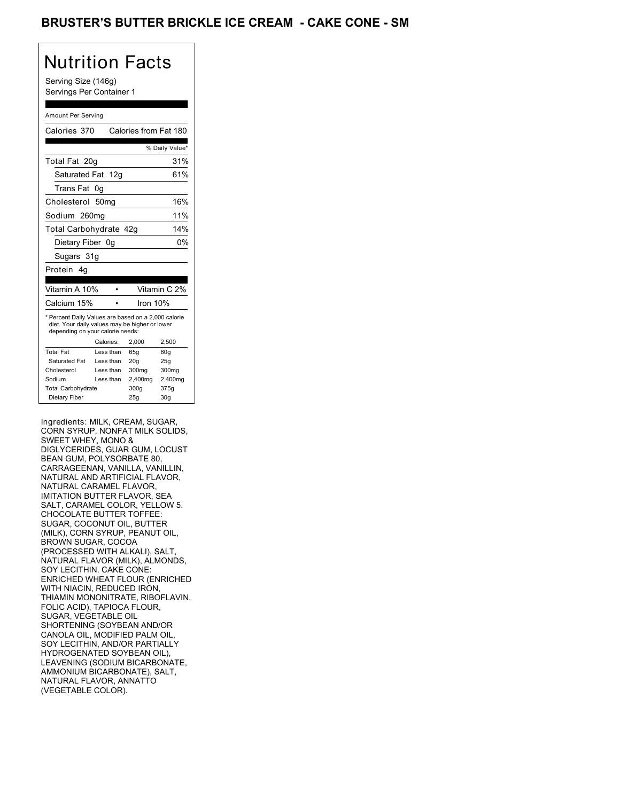## BRUSTER'S BUTTER BRICKLE ICE CREAM - CAKE CONE - SM

## Nutrition Facts

Serving Size (146g) Servings Per Container 1

### Amount Per Serving

| Calories 370                                                                                                                              |           |           | Calories from Fat 180 |                 |
|-------------------------------------------------------------------------------------------------------------------------------------------|-----------|-----------|-----------------------|-----------------|
|                                                                                                                                           |           |           |                       | % Daily Value*  |
| Total Fat 20g                                                                                                                             |           |           |                       | 31%             |
| Saturated Fat 12g                                                                                                                         |           |           |                       | 61%             |
| Trans Fat                                                                                                                                 | 0g        |           |                       |                 |
| Cholesterol 50mg                                                                                                                          |           |           |                       | 16%             |
| Sodium 260mg                                                                                                                              |           |           |                       | 11%             |
| Total Carbohydrate 42g                                                                                                                    |           |           |                       | 14%             |
| Dietary Fiber 0g                                                                                                                          |           |           |                       | 0%              |
| Sugars 31g                                                                                                                                |           |           |                       |                 |
| Protein 4a                                                                                                                                |           |           |                       |                 |
|                                                                                                                                           |           |           |                       |                 |
| Vitamin A 10%                                                                                                                             |           |           |                       | Vitamin C 2%    |
| Calcium 15%                                                                                                                               |           |           | Iron 10%              |                 |
| * Percent Daily Values are based on a 2,000 calorie<br>diet. Your daily values may be higher or lower<br>depending on your calorie needs: |           |           |                       |                 |
|                                                                                                                                           | Calories: |           | 2.000                 | 2,500           |
| <b>Total Fat</b>                                                                                                                          |           | Less than | 65q                   | 80q             |
| Saturated Fat                                                                                                                             |           | Less than | 20q                   | 25q             |
| Cholesterol                                                                                                                               |           | Less than | 300mg                 | 300mg           |
| Sodium                                                                                                                                    |           | Less than | 2,400mg               | 2,400mg         |
| <b>Total Carbohydrate</b>                                                                                                                 |           |           | 300g                  | 375g            |
| Dietary Fiber                                                                                                                             |           |           | 25q                   | 30 <sub>g</sub> |

Ingredients: MILK, CREAM, SUGAR, CORN SYRUP, NONFAT MILK SOLIDS, SWEET WHEY, MONO & DIGLYCERIDES, GUAR GUM, LOCUST BEAN GUM, POLYSORBATE 80, CARRAGEENAN, VANILLA, VANILLIN, NATURAL AND ARTIFICIAL FLAVOR, NATURAL CARAMEL FLAVOR, IMITATION BUTTER FLAVOR, SEA SALT, CARAMEL COLOR, YELLOW 5. CHOCOLATE BUTTER TOFFEE: SUGAR, COCONUT OIL, BUTTER (MILK), CORN SYRUP, PEANUT OIL, BROWN SUGAR, COCOA (PROCESSED WITH ALKALI), SALT, NATURAL FLAVOR (MILK), ALMONDS, SOY LECITHIN. CAKE CONE: ENRICHED WHEAT FLOUR (ENRICHED WITH NIACIN, REDUCED IRON, THIAMIN MONONITRATE, RIBOFLAVIN, FOLIC ACID), TAPIOCA FLOUR, SUGAR, VEGETABLE OIL SHORTENING (SOYBEAN AND/OR CANOLA OIL, MODIFIED PALM OIL, SOY LECITHIN, AND/OR PARTIALLY HYDROGENATED SOYBEAN OIL), LEAVENING (SODIUM BICARBONATE, AMMONIUM BICARBONATE), SALT, NATURAL FLAVOR, ANNATTO (VEGETABLE COLOR).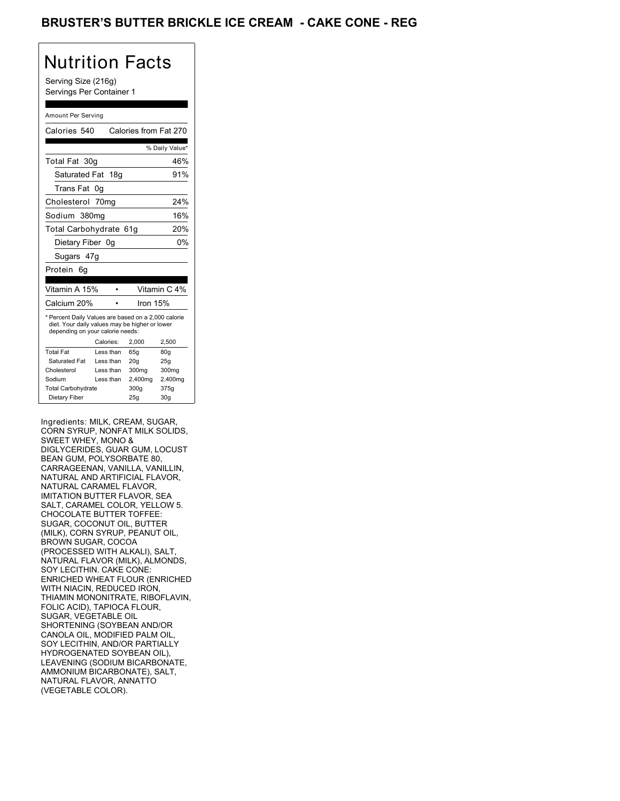## BRUSTER'S BUTTER BRICKLE ICE CREAM **- CAKE CONE - REG**

# Nutrition Facts

Serving Size (216g) Servings Per Container 1

### Amount Per Serving

| Calories 540                                                                                                                              |           | Calories from Fat 270 |                 |
|-------------------------------------------------------------------------------------------------------------------------------------------|-----------|-----------------------|-----------------|
|                                                                                                                                           |           |                       | % Daily Value*  |
| Total Fat 30g                                                                                                                             |           |                       | 46%             |
| Saturated Fat 18g                                                                                                                         |           |                       | 91%             |
| Trans Fat                                                                                                                                 | 0g        |                       |                 |
| Cholesterol 70mg                                                                                                                          |           |                       | 24%             |
| Sodium 380mg                                                                                                                              |           |                       | 16%             |
| Total Carbohydrate 61g                                                                                                                    |           |                       | 20%             |
| Dietary Fiber 0g                                                                                                                          |           |                       | 0%              |
| Sugars 47g                                                                                                                                |           |                       |                 |
| Protein<br>6g                                                                                                                             |           |                       |                 |
|                                                                                                                                           |           |                       |                 |
| Vitamin A 15%                                                                                                                             |           |                       | Vitamin C 4%    |
| Calcium 20%                                                                                                                               |           | Iron 15%              |                 |
| * Percent Daily Values are based on a 2,000 calorie<br>diet. Your daily values may be higher or lower<br>depending on your calorie needs: |           |                       |                 |
|                                                                                                                                           | Calories: | 2.000                 | 2,500           |
| <b>Total Fat</b>                                                                                                                          | Less than | 65q                   | 80q             |
| Saturated Fat                                                                                                                             | Less than | 20q                   | 25g             |
| Cholesterol                                                                                                                               | Less than | 300mg                 | 300mg           |
| Sodium                                                                                                                                    | Less than | 2,400mg               | 2,400mg         |
| <b>Total Carbohydrate</b>                                                                                                                 |           | 300q                  | 375g            |
| Dietary Fiber                                                                                                                             |           | 25q                   | 30 <sub>q</sub> |

Ingredients: MILK, CREAM, SUGAR, CORN SYRUP, NONFAT MILK SOLIDS, SWEET WHEY, MONO & DIGLYCERIDES, GUAR GUM, LOCUST BEAN GUM, POLYSORBATE 80, CARRAGEENAN, VANILLA, VANILLIN, NATURAL AND ARTIFICIAL FLAVOR, NATURAL CARAMEL FLAVOR, IMITATION BUTTER FLAVOR, SEA SALT, CARAMEL COLOR, YELLOW 5. CHOCOLATE BUTTER TOFFEE: SUGAR, COCONUT OIL, BUTTER (MILK), CORN SYRUP, PEANUT OIL, BROWN SUGAR, COCOA (PROCESSED WITH ALKALI), SALT, NATURAL FLAVOR (MILK), ALMONDS, SOY LECITHIN. CAKE CONE: ENRICHED WHEAT FLOUR (ENRICHED WITH NIACIN, REDUCED IRON, THIAMIN MONONITRATE, RIBOFLAVIN, FOLIC ACID), TAPIOCA FLOUR, SUGAR, VEGETABLE OIL SHORTENING (SOYBEAN AND/OR CANOLA OIL, MODIFIED PALM OIL, SOY LECITHIN, AND/OR PARTIALLY HYDROGENATED SOYBEAN OIL), LEAVENING (SODIUM BICARBONATE, AMMONIUM BICARBONATE), SALT, NATURAL FLAVOR, ANNATTO (VEGETABLE COLOR).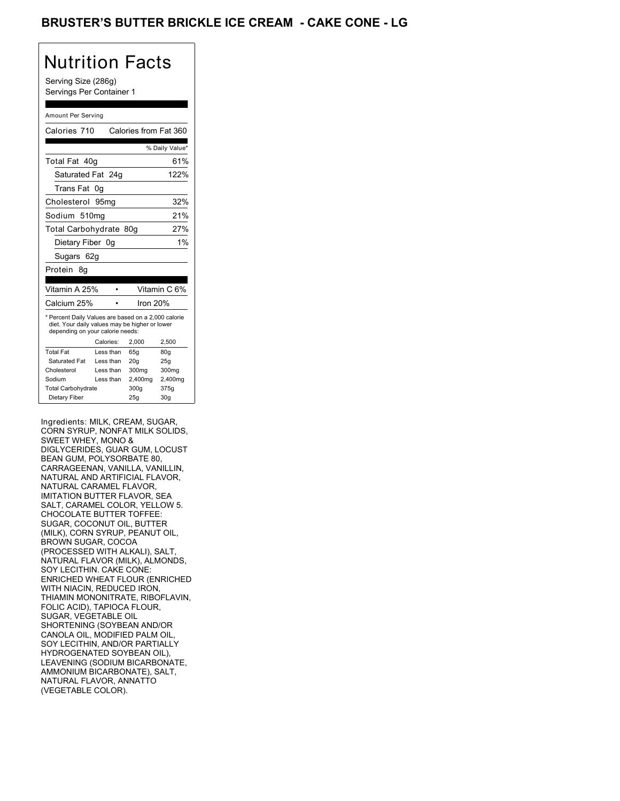## BRUSTER'S BUTTER BRICKLE ICE CREAM **- CAKE CONE - LG**

## Nutrition Facts

Serving Size (286g) Servings Per Container 1

### Amount Per Serving

| Calories 710                                                                                                                              |    |           | Calories from Fat 360 |                 |
|-------------------------------------------------------------------------------------------------------------------------------------------|----|-----------|-----------------------|-----------------|
|                                                                                                                                           |    |           |                       | % Daily Value*  |
|                                                                                                                                           |    |           |                       |                 |
| Total Fat 40q                                                                                                                             |    |           |                       | 61%             |
| Saturated Fat 24q                                                                                                                         |    |           |                       | 122%            |
| Trans Fat                                                                                                                                 | 0g |           |                       |                 |
| Cholesterol 95mg                                                                                                                          |    |           |                       | 32%             |
| Sodium 510mg                                                                                                                              |    |           |                       | 21%             |
| Total Carbohydrate 80g                                                                                                                    |    |           |                       | 27%             |
| Dietary Fiber 0g                                                                                                                          |    |           |                       | 1%              |
| Sugars 62g                                                                                                                                |    |           |                       |                 |
| Protein<br>8g                                                                                                                             |    |           |                       |                 |
|                                                                                                                                           |    |           |                       |                 |
| Vitamin A 25%                                                                                                                             |    |           |                       | Vitamin C 6%    |
| Calcium 25%                                                                                                                               |    |           | Iron 20%              |                 |
| * Percent Daily Values are based on a 2,000 calorie<br>diet. Your daily values may be higher or lower<br>depending on your calorie needs: |    |           |                       |                 |
|                                                                                                                                           |    | Calories: | 2.000                 | 2,500           |
| <b>Total Fat</b>                                                                                                                          |    | Less than | 65q                   | 80q             |
| Saturated Fat                                                                                                                             |    | Less than | 20q                   | 25q             |
| Cholesterol                                                                                                                               |    | Less than | 300mg                 | 300mg           |
| Sodium                                                                                                                                    |    | Less than | 2,400mg               | 2,400mg         |
| <b>Total Carbohydrate</b>                                                                                                                 |    |           | 300q                  | 375g            |
| Dietary Fiber                                                                                                                             |    |           | 25q                   | 30 <sub>q</sub> |

Ingredients: MILK, CREAM, SUGAR, CORN SYRUP, NONFAT MILK SOLIDS, SWEET WHEY, MONO & DIGLYCERIDES, GUAR GUM, LOCUST BEAN GUM, POLYSORBATE 80, CARRAGEENAN, VANILLA, VANILLIN, NATURAL AND ARTIFICIAL FLAVOR, NATURAL CARAMEL FLAVOR, IMITATION BUTTER FLAVOR, SEA SALT, CARAMEL COLOR, YELLOW 5. CHOCOLATE BUTTER TOFFEE: SUGAR, COCONUT OIL, BUTTER (MILK), CORN SYRUP, PEANUT OIL, BROWN SUGAR, COCOA (PROCESSED WITH ALKALI), SALT, NATURAL FLAVOR (MILK), ALMONDS, SOY LECITHIN. CAKE CONE: ENRICHED WHEAT FLOUR (ENRICHED WITH NIACIN, REDUCED IRON, THIAMIN MONONITRATE, RIBOFLAVIN, FOLIC ACID), TAPIOCA FLOUR, SUGAR, VEGETABLE OIL SHORTENING (SOYBEAN AND/OR CANOLA OIL, MODIFIED PALM OIL, SOY LECITHIN, AND/OR PARTIALLY HYDROGENATED SOYBEAN OIL), LEAVENING (SODIUM BICARBONATE, AMMONIUM BICARBONATE), SALT, NATURAL FLAVOR, ANNATTO (VEGETABLE COLOR).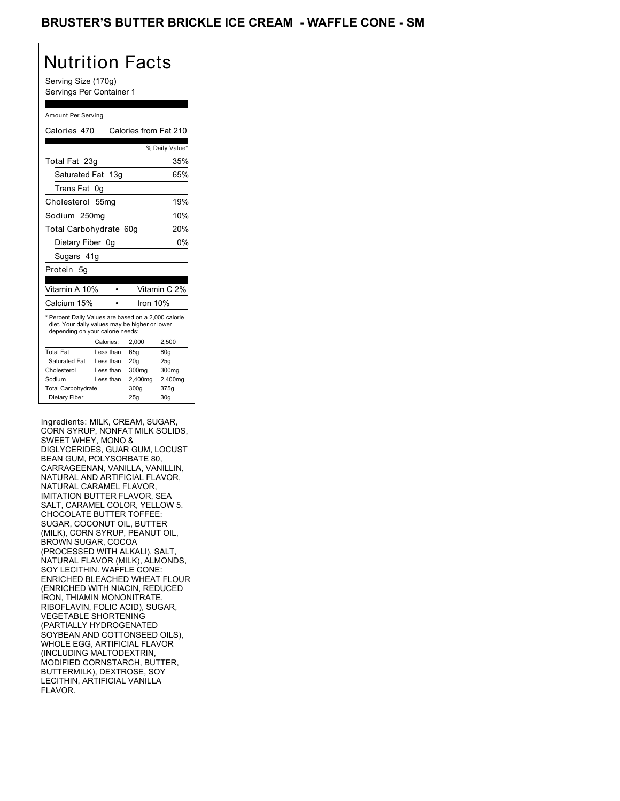## BRUSTER'S BUTTER BRICKLE ICE CREAM - WAFFLE CONE - SM

# Nutrition Facts

Serving Size (170g) Servings Per Container 1

### Amount Per Serving

| Calories 470                                                                                                                              |                  |     |          | Calories from Fat 210 |
|-------------------------------------------------------------------------------------------------------------------------------------------|------------------|-----|----------|-----------------------|
|                                                                                                                                           |                  |     |          | % Daily Value*        |
| Total Fat 23g                                                                                                                             |                  |     |          | 35%                   |
| Saturated Fat 13g                                                                                                                         |                  |     |          | 65%                   |
| Trans Fat                                                                                                                                 | 0g               |     |          |                       |
| Cholesterol                                                                                                                               | 55 <sub>mq</sub> |     |          | 19%                   |
| Sodium 250mg                                                                                                                              |                  |     |          | 10%                   |
| Total Carbohydrate 60g                                                                                                                    |                  |     |          | 20%                   |
| Dietary Fiber 0g                                                                                                                          |                  |     |          | 0%                    |
| Sugars 41g                                                                                                                                |                  |     |          |                       |
| Protein<br>5q                                                                                                                             |                  |     |          |                       |
|                                                                                                                                           |                  |     |          |                       |
| Vitamin A 10%                                                                                                                             |                  |     |          | Vitamin C 2%          |
| Calcium 15%                                                                                                                               |                  |     | Iron 10% |                       |
| * Percent Daily Values are based on a 2,000 calorie<br>diet. Your daily values may be higher or lower<br>depending on your calorie needs: |                  |     |          |                       |
|                                                                                                                                           | Calories:        |     | 2,000    | 2,500                 |
| <b>Total Fat</b>                                                                                                                          | Less than        | 65q |          | 80q                   |
| Saturated Fat                                                                                                                             | Less than        | 20q |          | 25q                   |
| Cholesterol                                                                                                                               | Less than        |     | 300mg    | 300mg                 |
| Sodium                                                                                                                                    | Less than        |     | 2,400mg  | 2,400mg               |
| <b>Total Carbohydrate</b>                                                                                                                 |                  |     | 300g     | 375g                  |
| Dietary Fiber                                                                                                                             |                  | 25q |          | 30 <sub>g</sub>       |

Ingredients: MILK, CREAM, SUGAR, CORN SYRUP, NONFAT MILK SOLIDS, SWEET WHEY, MONO & DIGLYCERIDES, GUAR GUM, LOCUST BEAN GUM, POLYSORBATE 80, CARRAGEENAN, VANILLA, VANILLIN, NATURAL AND ARTIFICIAL FLAVOR, NATURAL CARAMEL FLAVOR, IMITATION BUTTER FLAVOR, SEA SALT, CARAMEL COLOR, YELLOW 5. CHOCOLATE BUTTER TOFFEE: SUGAR, COCONUT OIL, BUTTER (MILK), CORN SYRUP, PEANUT OIL, BROWN SUGAR, COCOA (PROCESSED WITH ALKALI), SALT, NATURAL FLAVOR (MILK), ALMONDS, SOY LECITHIN. WAFFLE CONE: ENRICHED BLEACHED WHEAT FLOUR (ENRICHED WITH NIACIN, REDUCED IRON, THIAMIN MONONITRATE, RIBOFLAVIN, FOLIC ACID), SUGAR, VEGETABLE SHORTENING (PARTIALLY HYDROGENATED SOYBEAN AND COTTONSEED OILS), WHOLE EGG, ARTIFICIAL FLAVOR (INCLUDING MALTODEXTRIN, MODIFIED CORNSTARCH, BUTTER, BUTTERMILK), DEXTROSE, SOY LECITHIN, ARTIFICIAL VANILLA FLAVOR.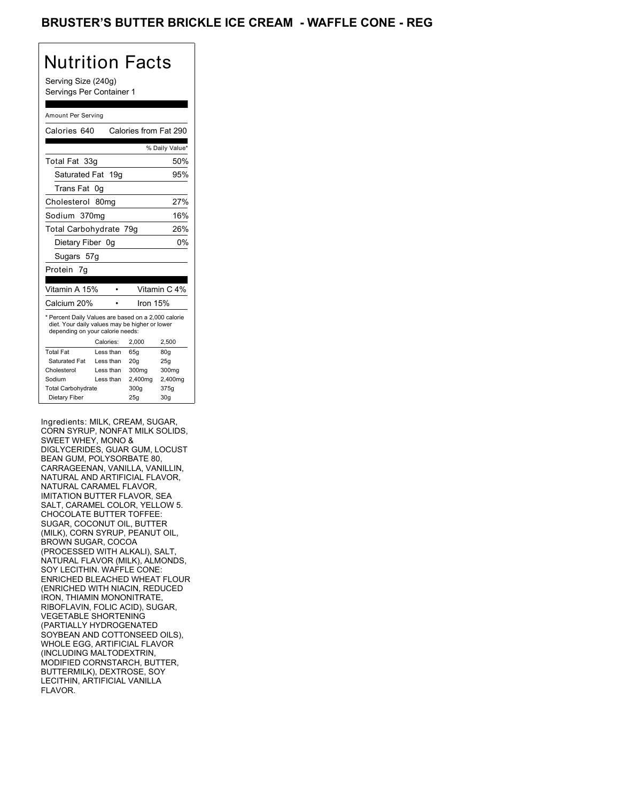## BRUSTER'S BUTTER BRICKLE ICE CREAM - WAFFLE CONE - REG

# Nutrition Facts

Serving Size (240g) Servings Per Container 1

#### Amount Per Serving

| Calories 640                                                                                                                              |           | Calories from Fat 290 |                 |
|-------------------------------------------------------------------------------------------------------------------------------------------|-----------|-----------------------|-----------------|
|                                                                                                                                           |           |                       |                 |
|                                                                                                                                           |           |                       | % Daily Value*  |
| Total Fat 33g                                                                                                                             |           |                       | 50%             |
| Saturated Fat 19g                                                                                                                         |           |                       | 95%             |
| Trans Fat                                                                                                                                 | 0g        |                       |                 |
| Cholesterol 80mg                                                                                                                          |           |                       | 27%             |
| Sodium 370mg                                                                                                                              |           |                       | 16%             |
| Total Carbohydrate 79g                                                                                                                    |           |                       | 26%             |
| Dietary Fiber 0g                                                                                                                          |           |                       | 0%              |
| Sugars 57g                                                                                                                                |           |                       |                 |
| Protein 7q                                                                                                                                |           |                       |                 |
|                                                                                                                                           |           |                       |                 |
| Vitamin A 15%                                                                                                                             |           |                       | Vitamin C 4%    |
| Calcium 20%                                                                                                                               |           | Iron 15%              |                 |
| * Percent Daily Values are based on a 2,000 calorie<br>diet. Your daily values may be higher or lower<br>depending on your calorie needs: |           |                       |                 |
|                                                                                                                                           | Calories: | 2.000                 | 2,500           |
| <b>Total Fat</b>                                                                                                                          | Less than | 65q                   | 80q             |
| <b>Saturated Fat</b>                                                                                                                      | Less than | 20q                   | 25q             |
| Cholesterol                                                                                                                               | Less than | 300mg                 | 300mg           |
| Sodium                                                                                                                                    | Less than | 2,400mg               | 2,400mg         |
| <b>Total Carbohydrate</b>                                                                                                                 |           | 300g                  | 375g            |
| Dietary Fiber                                                                                                                             |           | 25q                   | 30 <sub>g</sub> |

Ingredients: MILK, CREAM, SUGAR, CORN SYRUP, NONFAT MILK SOLIDS, SWEET WHEY, MONO & DIGLYCERIDES, GUAR GUM, LOCUST BEAN GUM, POLYSORBATE 80, CARRAGEENAN, VANILLA, VANILLIN, NATURAL AND ARTIFICIAL FLAVOR, NATURAL CARAMEL FLAVOR, IMITATION BUTTER FLAVOR, SEA SALT, CARAMEL COLOR, YELLOW 5. CHOCOLATE BUTTER TOFFEE: SUGAR, COCONUT OIL, BUTTER (MILK), CORN SYRUP, PEANUT OIL, BROWN SUGAR, COCOA (PROCESSED WITH ALKALI), SALT, NATURAL FLAVOR (MILK), ALMONDS, SOY LECITHIN. WAFFLE CONE: ENRICHED BLEACHED WHEAT FLOUR (ENRICHED WITH NIACIN, REDUCED IRON, THIAMIN MONONITRATE, RIBOFLAVIN, FOLIC ACID), SUGAR, VEGETABLE SHORTENING (PARTIALLY HYDROGENATED SOYBEAN AND COTTONSEED OILS), WHOLE EGG, ARTIFICIAL FLAVOR (INCLUDING MALTODEXTRIN, MODIFIED CORNSTARCH, BUTTER, BUTTERMILK), DEXTROSE, SOY LECITHIN, ARTIFICIAL VANILLA FLAVOR.